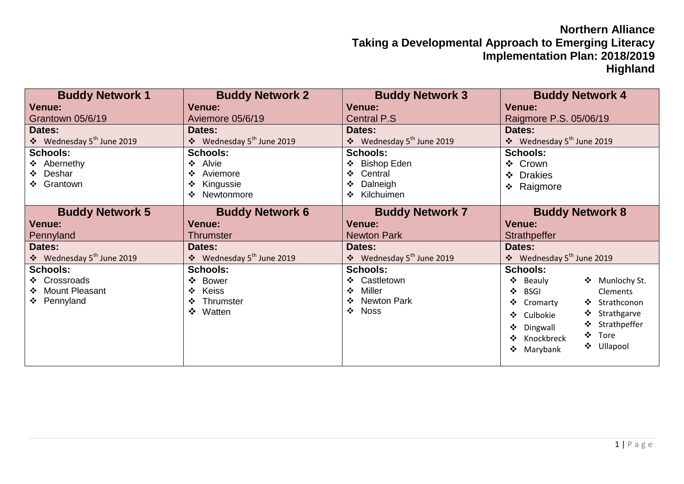## **Northern Alliance Taking a Developmental Approach to Emerging Literacy Implementation Plan: 2018/2019 Highland**

| <b>Buddy Network 1</b>                                                                                      | <b>Buddy Network 2</b><br>Venue:                                                                                                       | <b>Buddy Network 3</b>                                                                                                             | <b>Buddy Network 4</b>                                                                                                                                                                                                                                     |
|-------------------------------------------------------------------------------------------------------------|----------------------------------------------------------------------------------------------------------------------------------------|------------------------------------------------------------------------------------------------------------------------------------|------------------------------------------------------------------------------------------------------------------------------------------------------------------------------------------------------------------------------------------------------------|
| Venue:                                                                                                      | Aviemore 05/6/19                                                                                                                       | <b>Venue:</b>                                                                                                                      | <b>Venue:</b>                                                                                                                                                                                                                                              |
| Grantown 05/6/19                                                                                            |                                                                                                                                        | <b>Central P.S</b>                                                                                                                 | Raigmore P.S. 05/06/19                                                                                                                                                                                                                                     |
| Dates:<br>❖ Wednesday 5 <sup>th</sup> June 2019<br><b>Schools:</b><br>❖ Abernethy<br>❖ Deshar<br>❖ Grantown | Dates:<br>❖ Wednesday 5 <sup>th</sup> June 2019<br><b>Schools:</b><br>Alvie<br>❖<br>Aviemore<br>❖<br>Kingussie<br>❖<br>Newtonmore<br>❖ | Dates:<br>❖ Wednesday 5 <sup>th</sup> June 2019<br><b>Schools:</b><br>❖ Bishop Eden<br>Central<br>❖<br>Dalneigh<br>Kilchuimen<br>❖ | Dates:<br>❖ Wednesday 5 <sup>th</sup> June 2019<br><b>Schools:</b><br>❖ Crown<br>❖ Drakies<br>❖ Raigmore                                                                                                                                                   |
| <b>Buddy Network 5</b>                                                                                      | <b>Buddy Network 6</b>                                                                                                                 | <b>Buddy Network 7</b>                                                                                                             | <b>Buddy Network 8</b>                                                                                                                                                                                                                                     |
| <b>Venue:</b>                                                                                               | <b>Venue:</b>                                                                                                                          | Venue:                                                                                                                             | <b>Venue:</b>                                                                                                                                                                                                                                              |
| Pennyland                                                                                                   | <b>Thrumster</b>                                                                                                                       | <b>Newton Park</b>                                                                                                                 | Strathpeffer                                                                                                                                                                                                                                               |
| Dates:                                                                                                      | Dates:                                                                                                                                 | Dates:                                                                                                                             | Dates:                                                                                                                                                                                                                                                     |
| ❖ Wednesday 5 <sup>th</sup> June 2019                                                                       | ❖ Wednesday 5 <sup>th</sup> June 2019                                                                                                  | ❖ Wednesday 5 <sup>th</sup> June 2019                                                                                              | ❖ Wednesday 5 <sup>th</sup> June 2019                                                                                                                                                                                                                      |
| <b>Schools:</b><br>❖ Crossroads<br>❖ Mount Pleasant<br>❖ Pennyland                                          | <b>Schools:</b><br><b>Bower</b><br>❖<br><b>Keiss</b><br>$\cdot$<br>Thrumster<br>$\cdot$<br>❖ Watten                                    | <b>Schools:</b><br>❖ Castletown<br>Miller<br>❖<br>❖ Newton Park<br>$\div$ Noss                                                     | <b>Schools:</b><br>❖ Munlochy St.<br>❖<br>Beauly<br>❖<br><b>BSGI</b><br><b>Clements</b><br>❖ Strathconon<br>❖<br>Cromarty<br>❖ Strathgarve<br>❖<br>Culbokie<br>❖ Strathpeffer<br>❖<br>Dingwall<br>$\div$ Tore<br>Knockbreck<br>❖ Ullapool<br>❖<br>Marybank |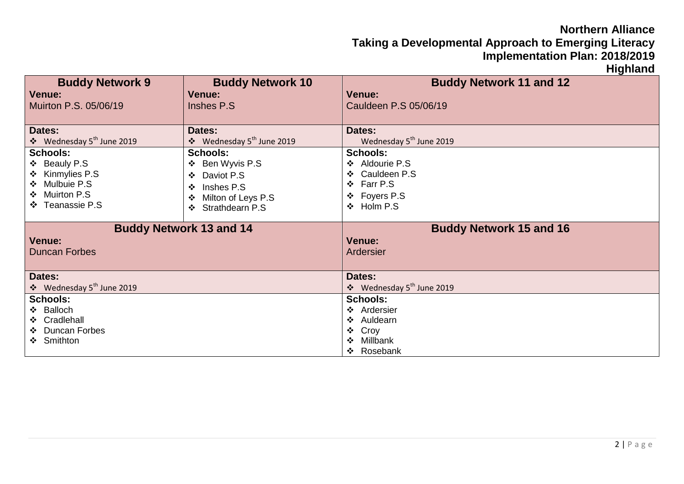## **Northern Alliance Taking a Developmental Approach to Emerging Literacy Implementation Plan: 2018/2019**

**Highland**

| <b>Buddy Network 9</b>                | <b>Buddy Network 10</b>               | <b>Buddy Network 11 and 12</b>        |  |
|---------------------------------------|---------------------------------------|---------------------------------------|--|
| <b>Venue:</b>                         | <b>Venue:</b>                         | <b>Venue:</b>                         |  |
| Muirton P.S. 05/06/19                 | Inshes P.S.                           | Cauldeen P.S 05/06/19                 |  |
|                                       |                                       |                                       |  |
| Dates:                                | Dates:                                | Dates:                                |  |
| ❖ Wednesday 5 <sup>th</sup> June 2019 | ❖ Wednesday 5 <sup>th</sup> June 2019 | Wednesday 5 <sup>th</sup> June 2019   |  |
| <b>Schools:</b>                       | <b>Schools:</b>                       | <b>Schools:</b>                       |  |
| ❖ Beauly P.S                          | ❖ Ben Wyvis P.S                       | ❖ Aldourie P.S                        |  |
| ❖ Kinmylies P.S                       | Daviot P.S<br>❖                       | ❖ Cauldeen P.S                        |  |
| ❖ Mulbuie P.S                         | Inshes P.S.<br>$\cdot$                | ❖ Farr P.S                            |  |
| ❖ Muirton P.S                         | Milton of Leys P.S<br>❖               | ❖ Foyers P.S                          |  |
| ❖ Teanassie P.S                       | Strathdearn P.S<br>❖                  | ❖ Holm P.S                            |  |
|                                       |                                       |                                       |  |
| <b>Buddy Network 13 and 14</b>        |                                       | <b>Buddy Network 15 and 16</b>        |  |
|                                       |                                       |                                       |  |
| <b>Venue:</b>                         |                                       | Venue:                                |  |
| <b>Duncan Forbes</b>                  |                                       | Ardersier                             |  |
|                                       |                                       |                                       |  |
| Dates:                                |                                       | Dates:                                |  |
| ❖ Wednesday 5 <sup>th</sup> June 2019 |                                       | ❖ Wednesday 5 <sup>th</sup> June 2019 |  |
| <b>Schools:</b>                       |                                       | <b>Schools:</b>                       |  |
| ❖ Balloch                             |                                       | ❖ Ardersier                           |  |
| ❖ Cradlehall                          |                                       | ❖ Auldearn                            |  |
| ❖ Duncan Forbes                       |                                       | ❖ Croy                                |  |
| ❖ Smithton                            |                                       | Millbank<br>❖<br>❖ Rosebank           |  |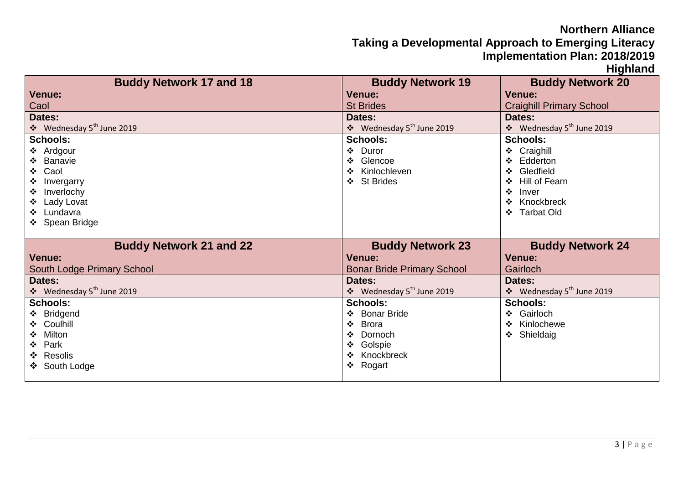## **Northern Alliance**

**Taking a Developmental Approach to Emerging Literacy Implementation Plan: 2018/2019**

**Highland**

| <b>Buddy Network 17 and 18</b>        | <b>Buddy Network 19</b>                    | <b>Buddy Network 20</b>               |
|---------------------------------------|--------------------------------------------|---------------------------------------|
| <b>Venue:</b>                         | <b>Venue:</b>                              | <b>Venue:</b>                         |
| Caol                                  | <b>St Brides</b>                           | <b>Craighill Primary School</b>       |
| Dates:                                | Dates:                                     | Dates:                                |
| ❖ Wednesday 5 <sup>th</sup> June 2019 | ❖ Wednesday 5 <sup>th</sup> June 2019      | ❖ Wednesday 5 <sup>th</sup> June 2019 |
| <b>Schools:</b>                       | <b>Schools:</b>                            | <b>Schools:</b>                       |
| ❖ Ardgour                             | ❖ Duror                                    | ❖ Craighill                           |
| ❖ Banavie                             | ❖ Glencoe                                  | Edderton<br>❖                         |
| Caol<br>❖                             | Kinlochleven<br>$\mathbf{A}$               | ❖ Gledfield                           |
| Invergarry                            | ❖ St Brides                                | Hill of Fearn<br>❖                    |
| Inverlochy                            |                                            | ❖<br>Inver                            |
| Lady Lovat                            |                                            | Knockbreck<br>❖                       |
| ❖ Lundavra                            |                                            | <b>Tarbat Old</b><br>❖                |
| ❖ Spean Bridge                        |                                            |                                       |
|                                       |                                            |                                       |
| <b>Buddy Network 21 and 22</b>        | <b>Buddy Network 23</b>                    | <b>Buddy Network 24</b>               |
| <b>Venue:</b>                         | <b>Venue:</b>                              | <b>Venue:</b>                         |
| South Lodge Primary School            | <b>Bonar Bride Primary School</b>          | Gairloch                              |
| Dates:                                | Dates:                                     | Dates:                                |
| ❖ Wednesday 5 <sup>th</sup> June 2019 | $\div$ Wednesday 5 <sup>th</sup> June 2019 | ❖ Wednesday 5 <sup>th</sup> June 2019 |
| <b>Schools:</b>                       | <b>Schools:</b>                            | <b>Schools:</b>                       |
| ❖ Bridgend                            | <b>Bonar Bride</b><br>$\mathbf{A}$         | Gairloch<br>❖                         |
| ❖ Coulhill                            | $\frac{1}{2}$<br><b>Brora</b>              | Kinlochewe<br>❖                       |
| Milton                                | $\cdot$<br>Dornoch                         | ❖ Shieldaig                           |
| Park<br>❖                             | ❖ Golspie                                  |                                       |
| ❖ Resolis                             | Knockbreck<br>$\bullet$                    |                                       |
| ❖ South Lodge                         | ❖ Rogart                                   |                                       |